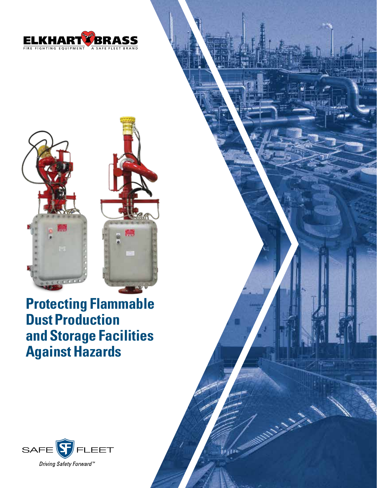



**Protecting Flammable Dust Production and Storage Facilities Against Hazards**



in pri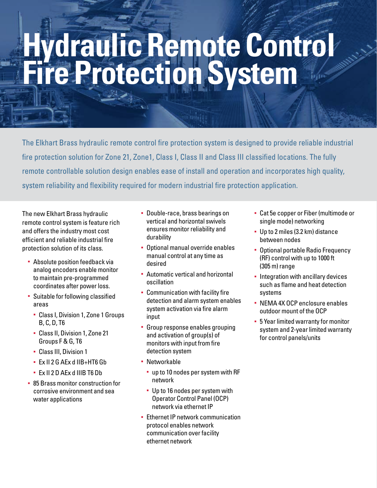# **Hydraulic Remote Control Fire Protection System**

The Elkhart Brass hydraulic remote control fire protection system is designed to provide reliable industrial fire protection solution for Zone 21, Zone1, Class I, Class II and Class III classified locations. The fully remote controllable solution design enables ease of install and operation and incorporates high quality, system reliability and flexibility required for modern industrial fire protection application.

The new Elkhart Brass hydraulic remote control system is feature rich and offers the industry most cost efficient and reliable industrial fire protection solution of its class.

- **Absolute position feedback via** analog encoders enable monitor to maintain pre-programmed coordinates after power loss.
- § Suitable for following classified areas
	- § Class I, Division 1, Zone 1 Groups B, C, D, T6
	- § Class II, Division 1, Zone 21 Groups F & G, T6
	- § Class III, Division 1
	- § Ex II 2 G AEx d IIB+HT6 Gb
	- § Ex II 2 D AEx d IIIB T6 Db
- § 85 Brass monitor construction for corrosive environment and sea water applications
- § Double-race, brass bearings on vertical and horizontal swivels ensures monitor reliability and durability
- § Optional manual override enables manual control at any time as desired
- § Automatic vertical and horizontal oscillation
- § Communication with facility fire detection and alarm system enables system activation via fire alarm input
- § Group response enables grouping and activation of group(s) of monitors with input from fire detection system
- Networkable
	- § up to 10 nodes per system with RF network
	- Up to 16 nodes per system with Operator Control Panel (OCP) network via ethernet IP
- **Ethernet IP network communication** protocol enables network communication over facility ethernet network
- § Cat 5e copper or Fiber (multimode or single mode) networking
- § Up to 2 miles (3.2 km) distance between nodes
- § Optional portable Radio Frequency (RF) control with up to 1000 ft (305 m) range
- Integration with ancillary devices such as flame and heat detection systems
- § NEMA 4X OCP enclosure enables outdoor mount of the OCP
- § 5 Year limited warranty for monitor system and 2-year limited warranty for control panels/units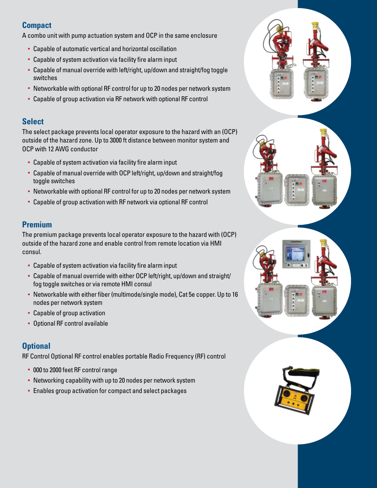## **Compact**

A combo unit with pump actuation system and OCP in the same enclosure

- § Capable of automatic vertical and horizontal oscillation
- Capable of system activation via facility fire alarm input
- Capable of manual override with left/right, up/down and straight/fog toggle switches
- Networkable with optional RF control for up to 20 nodes per network system
- Capable of group activation via RF network with optional RF control

#### **Select**

The select package prevents local operator exposure to the hazard with an (OCP) outside of the hazard zone. Up to 3000 ft distance between monitor system and OCP with 12 AWG conductor

- § Capable of system activation via facility fire alarm input
- § Capable of manual override with OCP left/right, up/down and straight/fog toggle switches
- Networkable with optional RF control for up to 20 nodes per network system
- Capable of group activation with RF network via optional RF control

# **Premium**

The premium package prevents local operator exposure to the hazard with (OCP) outside of the hazard zone and enable control from remote location via HMI consul.

- Capable of system activation via facility fire alarm input
- Capable of manual override with either OCP left/right, up/down and straight/ fog toggle switches or via remote HMI consul
- § Networkable with either fiber (multimode/single mode), Cat 5e copper. Up to 16 nodes per network system
- Capable of group activation
- § Optional RF control available

# **Optional**

RF Control Optional RF control enables portable Radio Frequency (RF) control

- § 000 to 2000 feet RF control range
- Networking capability with up to 20 nodes per network system
- § Enables group activation for compact and select packages